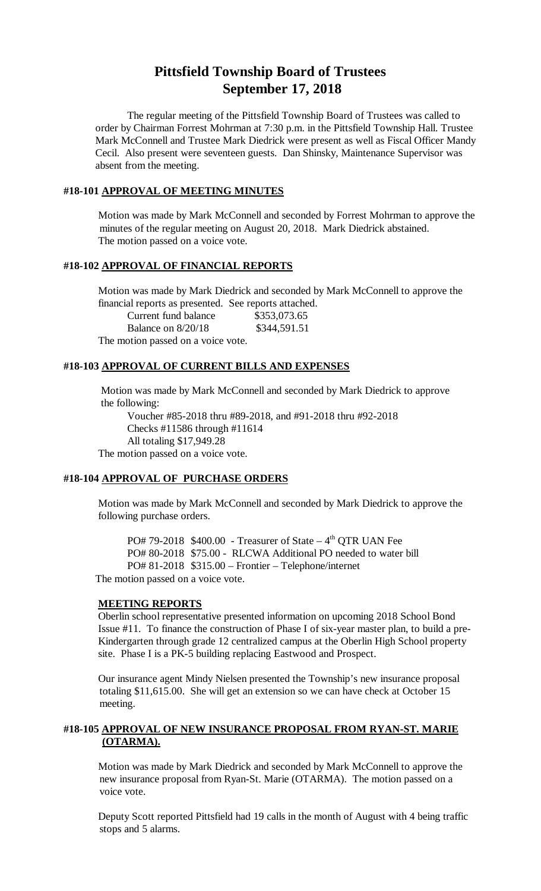# **Pittsfield Township Board of Trustees September 17, 2018**

The regular meeting of the Pittsfield Township Board of Trustees was called to order by Chairman Forrest Mohrman at 7:30 p.m. in the Pittsfield Township Hall. Trustee Mark McConnell and Trustee Mark Diedrick were present as well as Fiscal Officer Mandy Cecil. Also present were seventeen guests. Dan Shinsky, Maintenance Supervisor was absent from the meeting.

#### **#18-101 APPROVAL OF MEETING MINUTES**

Motion was made by Mark McConnell and seconded by Forrest Mohrman to approve the minutes of the regular meeting on August 20, 2018. Mark Diedrick abstained. The motion passed on a voice vote.

## **#18-102 APPROVAL OF FINANCIAL REPORTS**

Motion was made by Mark Diedrick and seconded by Mark McConnell to approve the financial reports as presented. See reports attached.

| Current fund balance               | \$353,073.65 |
|------------------------------------|--------------|
| Balance on $8/20/18$               | \$344,591.51 |
| The motion passed on a voice vote. |              |

## **#18-103 APPROVAL OF CURRENT BILLS AND EXPENSES**

Motion was made by Mark McConnell and seconded by Mark Diedrick to approve the following:

Voucher #85-2018 thru #89-2018, and #91-2018 thru #92-2018 Checks #11586 through #11614 All totaling \$17,949.28 The motion passed on a voice vote.

## **#18-104 APPROVAL OF PURCHASE ORDERS**

Motion was made by Mark McConnell and seconded by Mark Diedrick to approve the following purchase orders.

 $PO# 79-2018$  \$400.00 - Treasurer of State – 4<sup>th</sup> OTR UAN Fee PO# 80-2018 \$75.00 - RLCWA Additional PO needed to water bill PO# 81-2018 \$315.00 – Frontier – Telephone/internet The motion passed on a voice vote.

#### **MEETING REPORTS**

Oberlin school representative presented information on upcoming 2018 School Bond Issue #11. To finance the construction of Phase I of six-year master plan, to build a pre-Kindergarten through grade 12 centralized campus at the Oberlin High School property site. Phase I is a PK-5 building replacing Eastwood and Prospect.

Our insurance agent Mindy Nielsen presented the Township's new insurance proposal totaling \$11,615.00. She will get an extension so we can have check at October 15 meeting.

#### **#18-105 APPROVAL OF NEW INSURANCE PROPOSAL FROM RYAN-ST. MARIE (OTARMA).**

Motion was made by Mark Diedrick and seconded by Mark McConnell to approve the new insurance proposal from Ryan-St. Marie (OTARMA). The motion passed on a voice vote.

Deputy Scott reported Pittsfield had 19 calls in the month of August with 4 being traffic stops and 5 alarms.